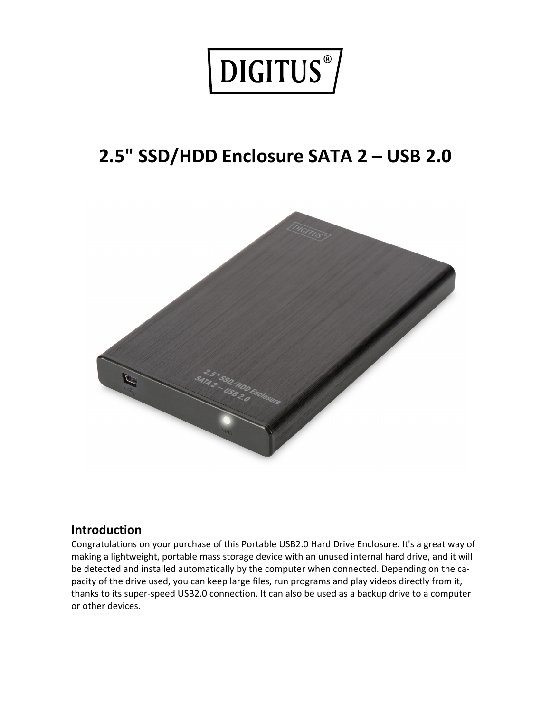

# **2.5" SSD/HDD Enclosure SATA 2 – USB 2.0**



#### **Introduction**

Congratulations on your purchase of this Portable USB2.0 Hard Drive Enclosure. It's a great way of making a lightweight, portable mass storage device with an unused internal hard drive, and it will be detected and installed automatically by the computer when connected. Depending on the capacity of the drive used, you can keep large files, run programs and play videos directly from it, thanks to its super-speed USB2.0 connection. It can also be used as a backup drive to a computer or other devices.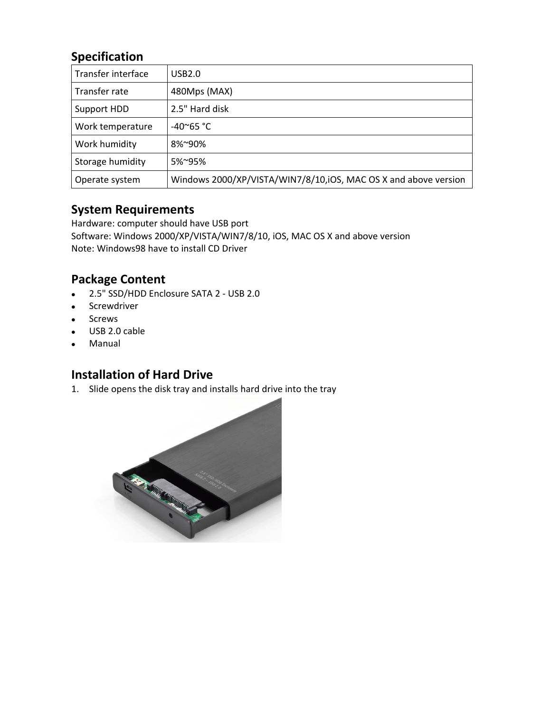# **Specification**

| Transfer interface | USB2.0                                                          |
|--------------------|-----------------------------------------------------------------|
| Transfer rate      | 480Mps (MAX)                                                    |
| Support HDD        | 2.5" Hard disk                                                  |
| Work temperature   | $-40^{\circ}65$ °C                                              |
| Work humidity      | 8%~90%                                                          |
| Storage humidity   | 5%~95%                                                          |
| Operate system     | Windows 2000/XP/VISTA/WIN7/8/10,iOS, MAC OS X and above version |

#### **System Requirements**

Hardware: computer should have USB port Software: Windows 2000/XP/VISTA/WIN7/8/10, iOS, MAC OS X and above version Note: Windows98 have to install CD Driver

### **Package Content**

- 2.5" SSD/HDD Enclosure SATA 2 USB 2.0
- **•** Screwdriver
- Screws
- USB 2.0 cable
- Manual

## **Installation of Hard Drive**

1. Slide opens the disk tray and installs hard drive into the tray